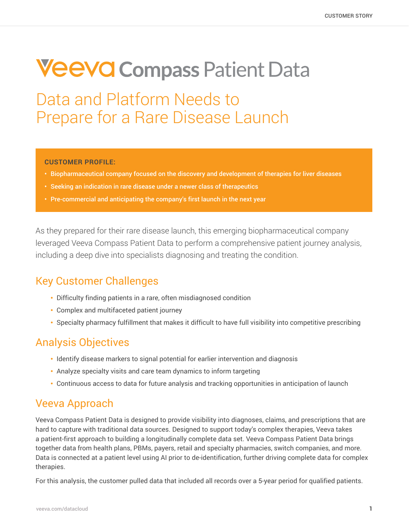# **VeeVG Compass Patient Data**

Data and Platform Needs to Prepare for a Rare Disease Launch

#### **CUSTOMER PROFILE:**

- Biopharmaceutical company focused on the discovery and development of therapies for liver diseases
- Seeking an indication in rare disease under a newer class of therapeutics
- Pre-commercial and anticipating the company's first launch in the next year

As they prepared for their rare disease launch, this emerging biopharmaceutical company leveraged Veeva Compass Patient Data to perform a comprehensive patient journey analysis, including a deep dive into specialists diagnosing and treating the condition.

## Key Customer Challenges

- Difficulty finding patients in a rare, often misdiagnosed condition
- Complex and multifaceted patient journey
- Specialty pharmacy fulfillment that makes it difficult to have full visibility into competitive prescribing

## Analysis Objectives

- Identify disease markers to signal potential for earlier intervention and diagnosis
- Analyze specialty visits and care team dynamics to inform targeting
- Continuous access to data for future analysis and tracking opportunities in anticipation of launch

### Veeva Approach

Veeva Compass Patient Data is designed to provide visibility into diagnoses, claims, and prescriptions that are hard to capture with traditional data sources. Designed to support today's complex therapies, Veeva takes a patient-first approach to building a longitudinally complete data set. Veeva Compass Patient Data brings together data from health plans, PBMs, payers, retail and specialty pharmacies, switch companies, and more. Data is connected at a patient level using AI prior to de-identification, further driving complete data for complex therapies.

For this analysis, the customer pulled data that included all records over a 5-year period for qualified patients.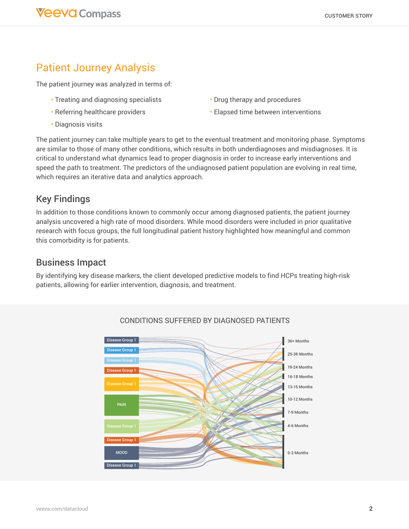## Patient Journey Analysis

The patient journey was analyzed in terms of:

- Treating and diagnosing specialists
- Referring healthcare providers
- Diagnosis visits
- Drug therapy and procedures
- Elapsed time between interventions

The patient journey can take multiple years to get to the eventual treatment and monitoring phase. Symptoms are similar to those of many other conditions, which results in both underdiagnoses and misdiagnoses. It is critical to understand what dynamics lead to proper diagnosis in order to increase early interventions and speed the path to treatment. The predictors of the undiagnosed patient population are evolving in real time, which requires an iterative data and analytics approach.

### Key Findings

In addition to those conditions known to commonly occur among diagnosed patients, the patient journey analysis uncovered a high rate of mood disorders. While mood disorders were included in prior qualitative research with focus groups, the full longitudinal patient history highlighted how meaningful and common this comorbidity is for patients.

#### Business Impact

By identifying key disease markers, the client developed predictive models to find HCPs treating high-risk patients, allowing for earlier intervention, diagnosis, and treatment.



#### Conditions Suffered by Diagnosed Patients CONDITIONS SUFFERED BY DIAGNOSED PATIENTS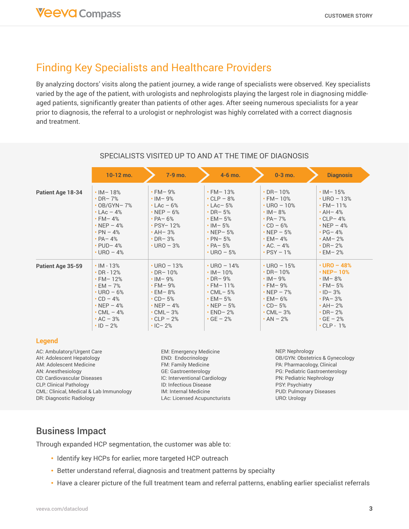## Finding Key Specialists and Healthcare Providers

By analyzing doctors' visits along the patient journey, a wide range of specialists were observed. Key specialists varied by the age of the patient, with urologists and nephrologists playing the largest role in diagnosing middleaged patients, significantly greater than patients of other ages. After seeing numerous specialists for a year prior to diagnosis, the referral to a urologist or nephrologist was highly correlated with a correct diagnosis and treatment.

|                                                                                                          | $10-12$ mo.                                                                                                                                                                                     | 7-9 mo.                                                                                                                                                                              | $4-6$ mo.                                                                                                                                                                           | $0-3$ mo.                                                                                                                                                                           | <b>Diagnosis</b>                                                                                                                                                                       |
|----------------------------------------------------------------------------------------------------------|-------------------------------------------------------------------------------------------------------------------------------------------------------------------------------------------------|--------------------------------------------------------------------------------------------------------------------------------------------------------------------------------------|-------------------------------------------------------------------------------------------------------------------------------------------------------------------------------------|-------------------------------------------------------------------------------------------------------------------------------------------------------------------------------------|----------------------------------------------------------------------------------------------------------------------------------------------------------------------------------------|
| Patient Age 18-34                                                                                        | $\cdot$ IM-18%<br>$\cdot$ DR-7%<br>$\cdot$ OB/GYN-7%<br>$\cdot$ LAc $-4\%$<br>$\cdot$ FM-4%<br>$\cdot$ NEP - 4%<br>$\cdot$ PN $-$ 4%<br>$\cdot$ PA - 4%<br>$\cdot$ PUD-4%<br>$\cdot$ URO $-4\%$ | $\cdot$ FM-9%<br>$\cdot$ IM-9%<br>$\cdot$ LAc - 6%<br>$\cdot$ NEP - 6%<br>$\cdot$ PA-6%<br>$\cdot$ PSY-12%<br>$\cdot$ AH-3%<br>$\cdot$ DR-3%<br>$\cdot$ URO - 3%                     | $\cdot$ FM-13%<br>$\cdot$ CLP - 8%<br>$\cdot$ LAc-5%<br>$\cdot$ DR-5%<br>$\cdot$ EM-5%<br>$\cdot$ IM – 5%<br>$\cdot$ NEP-5%<br>$\cdot$ PN-5%<br>$\cdot$ PA - 5%<br>$\cdot$ URO - 5% | $\cdot$ DR-10%<br>$\cdot$ FM-10%<br>$\cdot$ URO - 10%<br>$\cdot$ IM-8%<br>$\cdot$ PA - 7%<br>$\cdot$ CD - 6%<br>$\cdot$ NEP - 5%<br>$\cdot$ EM-4%<br>$AC. - 4%$<br>$\cdot$ PSY - 1% | $\cdot$ IM-15%<br>$\cdot$ URO - 13%<br>$\cdot$ FM-11%<br>$\cdot$ AH - 4%<br>$\cdot$ CLP-4%<br>$\cdot$ NEP - 4%<br>$\cdot$ PG-4%<br>$\cdot$ AM-2%<br>$\cdot$ DR-2%<br>$\cdot$ EM-2%     |
| Patient Age 35-59                                                                                        | $\cdot$ IM - 13%<br>$\cdot$ DR - 12%<br>$\cdot$ FM-12%<br>$\cdot$ EM $-7\%$<br>$\cdot$ URO - 6%<br>$\cdot$ CD - 4%<br>$\cdot$ NEP - 4%<br>$\cdot$ CML $-4\%$<br>$AC - 3%$<br>$\cdot$ ID - 2%    | $\cdot$ URO - 13%<br>$\cdot$ DR-10%<br>$\cdot$ IM-9%<br>$\cdot$ FM-9%<br>$\cdot$ EM – 8%<br>$\cdot$ CD-5%<br>$\cdot$ NEP - 4%<br>$\cdot$ CML-3%<br>$\cdot$ CLP - 2%<br>$\cdot$ IC-2% | $\cdot$ URO - 14%<br>$\cdot$ IM-10%<br>$\cdot$ DR-9%<br>$\cdot$ FM-11%<br>$\cdot$ CML-5%<br>$\cdot$ EM-5%<br>$\cdot$ NEP - 5%<br>$\cdot$ END-2%<br>$\cdot$ GE $-2\%$                | $\cdot$ URO $-15%$<br>$\cdot$ DR-10%<br>$\cdot$ IM-9%<br>$\cdot$ FM-9%<br>$\cdot$ NEP - 7%<br>$\cdot$ EM – 6%<br>$\cdot$ CD-5%<br>$\cdot$ CML-3%<br>$\cdot$ AN $-$ 2%               | $\cdot$ URO - 48%<br>$\cdot$ NEP-10%<br>$\cdot$ IM – 8%<br>$\cdot$ FM-5%<br>$\cdot$ ID-3%<br>$\cdot$ PA - 3%<br>$\cdot$ AH-2%<br>$\cdot$ DR-2%<br>$\cdot$ GE $-2%$<br>$\cdot$ CLP - 1% |
| <b>Legend</b>                                                                                            |                                                                                                                                                                                                 |                                                                                                                                                                                      |                                                                                                                                                                                     |                                                                                                                                                                                     |                                                                                                                                                                                        |
| AC: Ambulatory/Urgent Care<br>AH: Adolescent Hepatology<br>AM: Adolescent Medicine<br>AN: Anesthesiology |                                                                                                                                                                                                 | EM: Emergency Medicine<br>END: Endocrinology<br><b>FM: Family Medicine</b><br><b>GE: Gastroenterology</b>                                                                            |                                                                                                                                                                                     | NEP. Nephrology<br>OB/GYN: Obstetrics & Gynecology<br>PA: Pharmacology, Clinical<br>PG: Pediatric Gastroenterology                                                                  |                                                                                                                                                                                        |

IC: Interventional Cardiology ID: Infectious Disease IM: Internal Medicine LAc: Licensed Acupuncturists

#### SPECIALISTS VISITED UP TO AND AT THE TIME OF DIAGNOSIS

### Business Impact

CD: Cardiovascular Diseases CLP: Clinical Pathology

DR: Diagnostic Radiology

CML: Clinical, Medical & Lab Immunology

Through expanded HCP segmentation, the customer was able to:

- Identify key HCPs for earlier, more targeted HCP outreach
- Better understand referral, diagnosis and treatment patterns by specialty
- Have a clearer picture of the full treatment team and referral patterns, enabling earlier specialist referrals

PN: Pediatric Nephrology PSY: Psychiatry

PUD: Pulmonary Diseases

URO: Urology